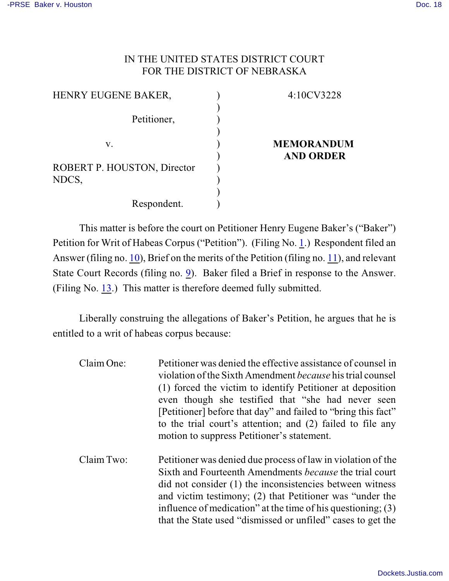### IN THE UNITED STATES DISTRICT COURT FOR THE DISTRICT OF NEBRASKA

| 4:10CV3228        |
|-------------------|
|                   |
|                   |
|                   |
| <b>MEMORANDUM</b> |
| <b>AND ORDER</b>  |
|                   |
|                   |
|                   |
|                   |
|                   |

This matter is before the court on Petitioner Henry Eugene Baker's ("Baker") Petition for Writ of Habeas Corpus ("Petition"). (Filing No. [1](http://ecf.ned.uscourts.gov/doc1/11302153367).) Respondent filed an Answer (filing no.  $10$ ), Brief on the merits of the Petition (filing no.  $11$ ), and relevant State Court Records (filing no. [9](http://ecf.ned.uscourts.gov/doc1/11302191375)). Baker filed a Brief in response to the Answer. (Filing No. [13](http://ecf.ned.uscourts.gov/doc1/11302211071).) This matter is therefore deemed fully submitted.

Liberally construing the allegations of Baker's Petition, he argues that he is entitled to a writ of habeas corpus because:

| Claim One: | Petitioner was denied the effective assistance of counsel in<br>violation of the Sixth Amendment <i>because</i> his trial counsel<br>(1) forced the victim to identify Petitioner at deposition<br>even though she testified that "she had never seen<br>[Petitioner] before that day" and failed to "bring this fact"<br>to the trial court's attention; and (2) failed to file any<br>motion to suppress Petitioner's statement. |
|------------|------------------------------------------------------------------------------------------------------------------------------------------------------------------------------------------------------------------------------------------------------------------------------------------------------------------------------------------------------------------------------------------------------------------------------------|
| Claim Two: | Petitioner was denied due process of law in violation of the<br>Sixth and Fourteenth Amendments <i>because</i> the trial court<br>did not consider (1) the inconsistencies between witness<br>and victim testimony; (2) that Petitioner was "under the<br>influence of medication" at the time of his questioning; $(3)$<br>that the State used "dismissed or unfiled" cases to get the                                            |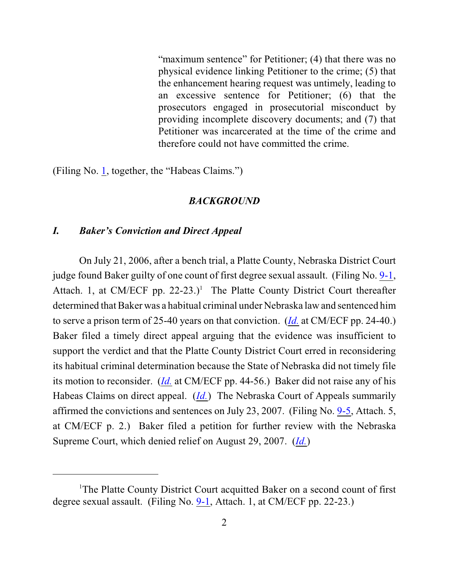"maximum sentence" for Petitioner; (4) that there was no physical evidence linking Petitioner to the crime; (5) that the enhancement hearing request was untimely, leading to an excessive sentence for Petitioner; (6) that the prosecutors engaged in prosecutorial misconduct by providing incomplete discovery documents; and (7) that Petitioner was incarcerated at the time of the crime and therefore could not have committed the crime.

(Filing No. [1](http://ecf.ned.uscourts.gov/doc1/11302153367), together, the "Habeas Claims.")

#### *BACKGROUND*

### *I. Baker's Conviction and Direct Appeal*

On July 21, 2006, after a bench trial, a Platte County, Nebraska District Court judge found Baker guilty of one count of first degree sexual assault. (Filing No. [9-1](https://ecf.ned.uscourts.gov/doc1/11312191376), Attach. 1, at CM/ECF pp. 22-23.)<sup>1</sup> The Platte County District Court thereafter determined that Baker was a habitual criminal under Nebraska law and sentenced him to serve a prison term of 25-40 years on that conviction. (*[Id.](https://ecf.ned.uscourts.gov/doc1/11312191376)* at CM/ECF pp. 24-40.) Baker filed a timely direct appeal arguing that the evidence was insufficient to support the verdict and that the Platte County District Court erred in reconsidering its habitual criminal determination because the State of Nebraska did not timely file its motion to reconsider. (*[Id.](https://ecf.ned.uscourts.gov/doc1/11312191376)* at CM/ECF pp. 44-56.) Baker did not raise any of his Habeas Claims on direct appeal. (*[Id.](https://ecf.ned.uscourts.gov/doc1/11312191376)*) The Nebraska Court of Appeals summarily affirmed the convictions and sentences on July 23, 2007. (Filing No. [9-5](https://ecf.ned.uscourts.gov/doc1/11312191380), Attach. 5, at CM/ECF p. 2.) Baker filed a petition for further review with the Nebraska Supreme Court, which denied relief on August 29, 2007. (*[Id.](https://ecf.ned.uscourts.gov/doc1/11312191380)*)

<sup>&</sup>lt;sup>1</sup>The Platte County District Court acquitted Baker on a second count of first degree sexual assault. (Filing No. [9-1](https://ecf.ned.uscourts.gov/doc1/11312191376), Attach. 1, at CM/ECF pp. 22-23.)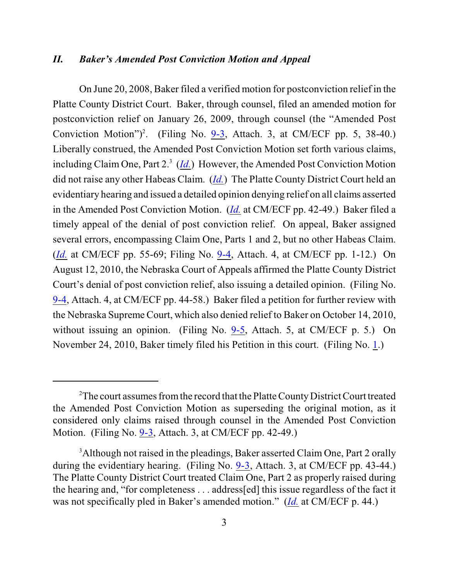### *II. Baker's Amended Post Conviction Motion and Appeal*

On June 20, 2008, Baker filed a verified motion for postconviction relief in the Platte County District Court. Baker, through counsel, filed an amended motion for postconviction relief on January 26, 2009, through counsel (the "Amended Post Conviction Motion")<sup>2</sup>. (Filing No.  $9-3$ , Attach. 3, at CM/ECF pp. 5, 38-40.) Liberally construed, the Amended Post Conviction Motion set forth various claims, including Claim One, Part 2.<sup>3</sup> (*<u>[Id.](https://ecf.ned.uscourts.gov/doc1/11312191378)</u>*) However, the Amended Post Conviction Motion did not raise any other Habeas Claim. (*[Id.](https://ecf.ned.uscourts.gov/doc1/11312191378)*) The Platte County District Court held an evidentiary hearing and issued a detailed opinion denying relief on all claims asserted in the Amended Post Conviction Motion. (*[Id.](https://ecf.ned.uscourts.gov/doc1/11312191378)* at CM/ECF pp. 42-49.) Baker filed a timely appeal of the denial of post conviction relief. On appeal, Baker assigned several errors, encompassing Claim One, Parts 1 and 2, but no other Habeas Claim. (*[Id.](https://ecf.ned.uscourts.gov/doc1/11312191378)* at CM/ECF pp. 55-69; Filing No. [9-4](https://ecf.ned.uscourts.gov/doc1/11312191379), Attach. 4, at CM/ECF pp. 1-12.) On August 12, 2010, the Nebraska Court of Appeals affirmed the Platte County District Court's denial of post conviction relief, also issuing a detailed opinion. (Filing No. [9-4](https://ecf.ned.uscourts.gov/doc1/11312191379), Attach. 4, at CM/ECF pp. 44-58.) Baker filed a petition for further review with the Nebraska Supreme Court, which also denied relief to Baker on October 14, 2010, without issuing an opinion. (Filing No. [9-5](https://ecf.ned.uscourts.gov/doc1/11312191380), Attach. 5, at CM/ECF p. 5.) On November 24, 2010, Baker timely filed his Petition in this court. (Filing No. [1](http://ecf.ned.uscourts.gov/doc1/11302153367).)

<sup>&</sup>lt;sup>2</sup>The court assumes from the record that the Platte County District Court treated the Amended Post Conviction Motion as superseding the original motion, as it considered only claims raised through counsel in the Amended Post Conviction Motion. (Filing No. [9-3](https://ecf.ned.uscourts.gov/doc1/11312191378), Attach. 3, at CM/ECF pp. 42-49.)

<sup>&</sup>lt;sup>3</sup>Although not raised in the pleadings, Baker asserted Claim One, Part 2 orally during the evidentiary hearing. (Filing No. [9-3](https://ecf.ned.uscourts.gov/doc1/11312191378), Attach. 3, at CM/ECF pp. 43-44.) The Platte County District Court treated Claim One, Part 2 as properly raised during the hearing and, "for completeness . . . address[ed] this issue regardless of the fact it was not specifically pled in Baker's amended motion." (*[Id.](https://ecf.ned.uscourts.gov/doc1/11312191378)* at CM/ECF p. 44.)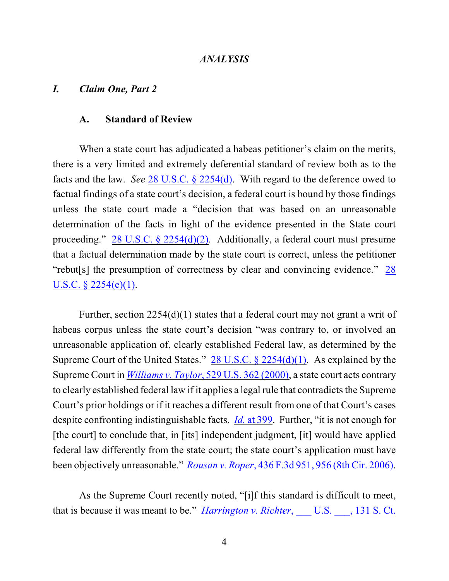### *ANALYSIS*

### *I. Claim One, Part 2*

### **A. Standard of Review**

When a state court has adjudicated a habeas petitioner's claim on the merits, there is a very limited and extremely deferential standard of review both as to the facts and the law. *See* [28 U.S.C. § 2254\(d\)](http://www.westlaw.com/find/default.wl?rs=CLWP3.0&vr=2.0&cite=28+USCA+s+2254%28d%29). With regard to the deference owed to factual findings of a state court's decision, a federal court is bound by those findings unless the state court made a "decision that was based on an unreasonable determination of the facts in light of the evidence presented in the State court proceeding." [28 U.S.C. § 2254\(d\)\(2\)](http://www.westlaw.com/find/default.wl?rs=CLWP3.0&vr=2.0&cite=28+USCA+s+2254%28d%29%282%29). Additionally, a federal court must presume that a factual determination made by the state court is correct, unless the petitioner "rebut[s] the presumption of correctness by clear and convincing evidence." [28](http://www.westlaw.com/find/default.wl?rs=CLWP3.0&vr=2.0&cite=28+USCA+s+2254%28e%29%281%29) [U.S.C. § 2254\(e\)\(1\)](http://www.westlaw.com/find/default.wl?rs=CLWP3.0&vr=2.0&cite=28+USCA+s+2254%28e%29%281%29).

Further, section  $2254(d)(1)$  states that a federal court may not grant a writ of habeas corpus unless the state court's decision "was contrary to, or involved an unreasonable application of, clearly established Federal law, as determined by the Supreme Court of the United States." [28 U.S.C. § 2254\(d\)\(1\)](http://web2.westlaw.com/find/default.wl?fn=_top&rs=WLW8.05&rp=%2ffind%2fdefault.wl&mt=Westlaw&vr=2.0&sv=Split&cite=28+us+c+section+2254+(d)(1)). As explained by the Supreme Court in *Williams v. Taylor*, [529 U.S. 362 \(2000\)](http://www.westlaw.com/find/default.wl?rs=CLWP3.0&vr=2.0&cite=529+U.S.+362), a state court acts contrary to clearly established federal law if it applies a legal rule that contradicts the Supreme Court's prior holdings or if it reaches a different result from one of that Court's cases despite confronting indistinguishable facts. *Id.* [at 399](http://www.westlaw.com/find/default.wl?rs=CLWP3.0&vr=2.0&cite=529+U.S.+399). Further, "it is not enough for [the court] to conclude that, in [its] independent judgment, [it] would have applied federal law differently from the state court; the state court's application must have been objectively unreasonable." *Rousan v. Roper*[, 436 F.3d 951, 956 \(8th Cir. 2006\)](http://web2.westlaw.com/find/default.wl?fn=_top&rs=WLW8.10&rp=%2ffind%2fdefault.wl&vr=2.0&sv=Split&cite=436+F.3d+956+).

As the Supreme Court recently noted, "[i]f this standard is difficult to meet, that is because it was meant to be." *Harrington v. Richter*, U.S. , 131 S. Ct.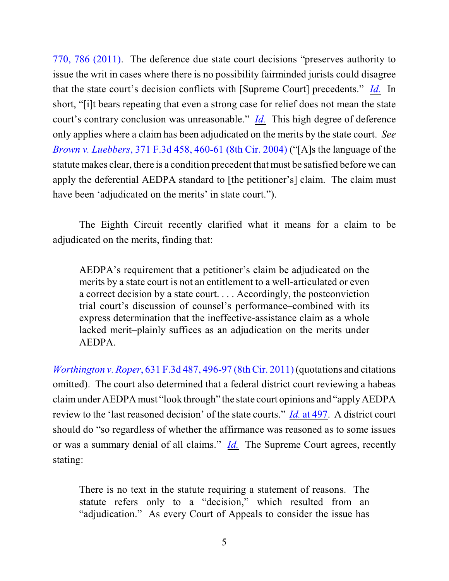770, 786 (2011). The deference due state court decisions "preserves authority to issue the writ in cases where there is no possibility fairminded jurists could disagree that the state court's decision conflicts with [Supreme Court] precedents." *[Id.](http://web2.westlaw.com/find/default.wl?fn=_top&rs=WLW11.01&rp=%2ffind%2fdefault.wl&mt=Westlaw&vr=2.0&sv=Split&cite=131+s+ct+786)* In short, "[i]t bears repeating that even a strong case for relief does not mean the state court's contrary conclusion was unreasonable." *[Id.](http://web2.westlaw.com/find/default.wl?fn=_top&rs=WLW11.01&rp=%2ffind%2fdefault.wl&mt=Westlaw&vr=2.0&sv=Split&cite=131+s+ct+786)* This high degree of deference only applies where a claim has been adjudicated on the merits by the state court. *See Brown v. Luebbers*[, 371 F.3d 458, 460-61 \(8th Cir. 2004\)](http://www.westlaw.com/find/default.wl?rs=CLWP3.0&vr=2.0&cite=371+F.3d+458) ("[A]s the language of the statute makes clear, there is a condition precedent that must be satisfied before we can apply the deferential AEDPA standard to [the petitioner's] claim. The claim must have been 'adjudicated on the merits' in state court.").

The Eighth Circuit recently clarified what it means for a claim to be adjudicated on the merits, finding that:

AEDPA's requirement that a petitioner's claim be adjudicated on the merits by a state court is not an entitlement to a well-articulated or even a correct decision by a state court. . . . Accordingly, the postconviction trial court's discussion of counsel's performance–combined with its express determination that the ineffective-assistance claim as a whole lacked merit–plainly suffices as an adjudication on the merits under AEDPA.

*Worthington v. Roper*, [631 F.3d 487, 496-97 \(8th Cir. 2011\)](http://web2.westlaw.com/find/default.wl?fn=_top&rs=WLW11.04&rp=%2ffind%2fdefault.wl&mt=Westlaw&vr=2.0&sv=Split&cite=631+f+3d+496) (quotations and citations omitted). The court also determined that a federal district court reviewing a habeas claim under AEDPA must "look through" the state court opinions and "apply AEDPA review to the 'last reasoned decision' of the state courts." *Id.* [at 497](http://web2.westlaw.com/find/default.wl?fn=_top&rs=WLW11.04&rp=%2ffind%2fdefault.wl&mt=Westlaw&vr=2.0&sv=Split&cite=631+f+3d+496). A district court should do "so regardless of whether the affirmance was reasoned as to some issues or was a summary denial of all claims." *[Id.](file:///|//v)* The Supreme Court agrees, recently stating:

There is no text in the statute requiring a statement of reasons. The statute refers only to a "decision," which resulted from an "adjudication." As every Court of Appeals to consider the issue has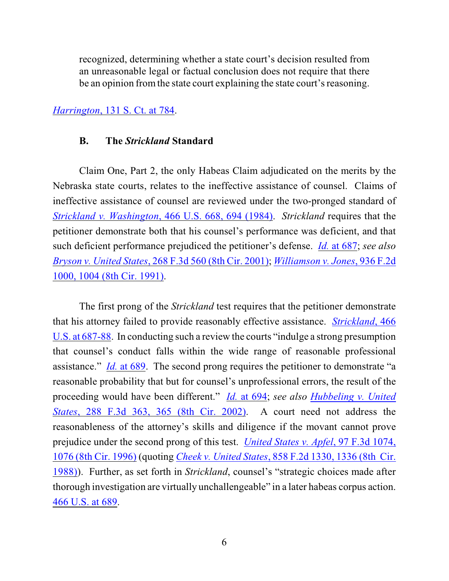recognized, determining whether a state court's decision resulted from an unreasonable legal or factual conclusion does not require that there be an opinion fromthe state court explaining the state court's reasoning.

## *Harrington*[, 131 S. Ct. at 784](http://web2.westlaw.com/find/default.wl?fn=_top&rs=WLW11.01&rp=%2ffind%2fdefault.wl&mt=Westlaw&vr=2.0&sv=Split&cite=131+s+ct+770).

### **B. The** *Strickland* **Standard**

Claim One, Part 2, the only Habeas Claim adjudicated on the merits by the Nebraska state courts, relates to the ineffective assistance of counsel. Claims of ineffective assistance of counsel are reviewed under the two-pronged standard of *Strickland v. Washington*[, 466 U.S. 668, 694 \(1984\)](http://www.westlaw.com/find/default.wl?rs=CLWP3.0&vr=2.0&cite=466+U.S.+668). *Strickland* requires that the petitioner demonstrate both that his counsel's performance was deficient, and that such deficient performance prejudiced the petitioner's defense. *Id.* [at 687](http://www.westlaw.com/find/default.wl?rs=CLWP3.0&vr=2.0&cite=466+U.S.+687); *see also Bryson v. United States*, 268 [F.3d 560 \(8th Cir. 2001\)](http://www.westlaw.com/find/default.wl?rs=CLWP3.0&vr=2.0&cite=268+F.3d+560); *[Williamson v. Jones](http://www.westlaw.com/find/default.wl?rs=CLWP3.0&vr=2.0&cite=936+F.2d+1000)*, 936 F.2d [1000, 1004 \(8th Cir. 1991\)](http://www.westlaw.com/find/default.wl?rs=CLWP3.0&vr=2.0&cite=936+F.2d+1000).

The first prong of the *Strickland* test requires that the petitioner demonstrate that his attorney failed to provide reasonably effective assistance. *[Strickland](http://web2.westlaw.com/find/default.wl?fn=_top&rs=WLW8.10&rp=%2ffind%2fdefault.wl&vr=2.0&sv=Split&cite=466+U.S.+687+)*, 466 [U.S. at 687-88](http://web2.westlaw.com/find/default.wl?fn=_top&rs=WLW8.10&rp=%2ffind%2fdefault.wl&vr=2.0&sv=Split&cite=466+U.S.+687+). In conducting such a review the courts "indulge a strong presumption that counsel's conduct falls within the wide range of reasonable professional assistance." *Id.* [at 689](http://web2.westlaw.com/find/default.wl?fn=_top&rs=WLW8.10&rp=%2ffind%2fdefault.wl&vr=2.0&sv=Split&cite=466+U.S.+689). The second prong requires the petitioner to demonstrate "a reasonable probability that but for counsel's unprofessional errors, the result of the proceeding would have been different." *Id.* [at 694](http://www.westlaw.com/find/default.wl?rs=CLWP3.0&vr=2.0&cite=466+U.S.+694); *see also [Hubbeling v. United](http://web2.westlaw.com/find/default.wl?fn=_top&rs=WLW8.10&rp=%2ffind%2fdefault.wl&vr=2.0&cite=288+F.3d+365+) States*[, 288 F.3d 363, 365 \(8th Cir. 2002\)](http://web2.westlaw.com/find/default.wl?fn=_top&rs=WLW8.10&rp=%2ffind%2fdefault.wl&vr=2.0&cite=288+F.3d+365+). A court need not address the reasonableness of the attorney's skills and diligence if the movant cannot prove prejudice under the second prong of this test. *[United States v. Apfel](http://web2.westlaw.com/find/default.wl?fn=_top&rs=WLW8.10&rp=%2ffind%2fdefault.wl&vr=2.0&cite=97+F.3d+1076+)*, 97 F.3d 1074, [1076 \(8th Cir. 1996\)](http://web2.westlaw.com/find/default.wl?fn=_top&rs=WLW8.10&rp=%2ffind%2fdefault.wl&vr=2.0&cite=97+F.3d+1076+) (quoting *[Cheek v. United States](http://web2.westlaw.com/find/default.wl?fn=_top&rs=WLW8.10&rp=%2ffind%2fdefault.wl&vr=2.0&cite=858+F.2d+1336+)*, 858 F.2d 1330, 1336 (8th Cir. [1988\)](http://web2.westlaw.com/find/default.wl?fn=_top&rs=WLW8.10&rp=%2ffind%2fdefault.wl&vr=2.0&cite=858+F.2d+1336+)). Further, as set forth in *Strickland*, counsel's "strategic choices made after thorough investigation are virtually unchallengeable" in a later habeas corpus action. [466 U.S. at 689](http://www.westlaw.com/find/default.wl?rs=CLWP3.0&vr=2.0&cite=466+U.S.+689).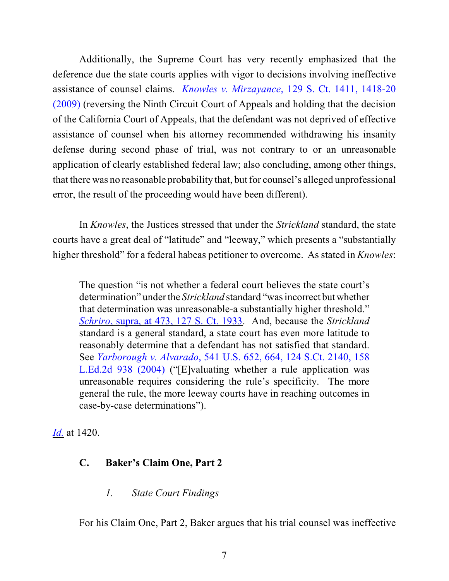Additionally, the Supreme Court has very recently emphasized that the deference due the state courts applies with vigor to decisions involving ineffective assistance of counsel claims. *Knowles v. Mirzayance*[, 129 S. Ct. 1411, 1418-20](http://web2.westlaw.com/find/default.wl?fn=_top&rs=WLW9.06&rp=%2ffind%2fdefault.wl&ifm=NotSet&vr=2.0&cite=129+s+ct+1418) [\(2009\)](http://web2.westlaw.com/find/default.wl?fn=_top&rs=WLW9.06&rp=%2ffind%2fdefault.wl&ifm=NotSet&vr=2.0&cite=129+s+ct+1418) (reversing the Ninth Circuit Court of Appeals and holding that the decision of the California Court of Appeals, that the defendant was not deprived of effective assistance of counsel when his attorney recommended withdrawing his insanity defense during second phase of trial, was not contrary to or an unreasonable application of clearly established federal law; also concluding, among other things, that there was no reasonable probability that, but for counsel's alleged unprofessional error, the result of the proceeding would have been different).

In *Knowles*, the Justices stressed that under the *Strickland* standard, the state courts have a great deal of "latitude" and "leeway," which presents a "substantially higher threshold" for a federal habeas petitioner to overcome. As stated in *Knowles*:

The question "is not whether a federal court believes the state court's determination" under the *Strickland* standard "was incorrect but whether that determination was unreasonable-a substantially higher threshold." *Schriro*[, supra, at 473, 127 S. Ct. 1933](http://web2.westlaw.com/find/default.wl?rs=CLWP3.0&vr=2.0&cite=127+S.Ct.+1933&ssl=n). And, because the *Strickland* standard is a general standard, a state court has even more latitude to reasonably determine that a defendant has not satisfied that standard. See *Yarborough v. Alvarado*[, 541 U.S. 652, 664, 124 S.Ct. 2140, 158](http://www.westlaw.com/find/default.wl?rs=CLWP3.0&vr=2.0&cite=541+U.S.+652) [L.Ed.2d 938 \(2004\)](http://www.westlaw.com/find/default.wl?rs=CLWP3.0&vr=2.0&cite=541+U.S.+652) ("[E]valuating whether a rule application was unreasonable requires considering the rule's specificity. The more general the rule, the more leeway courts have in reaching outcomes in case-by-case determinations").

*[Id.](http://web2.westlaw.com/find/default.wl?fn=_top&rs=WLW9.06&rp=%2ffind%2fdefault.wl&ifm=NotSet&vr=2.0&cite=129+s+ct+1420)* at 1420.

# **C. Baker's Claim One, Part 2**

*1. State Court Findings*

For his Claim One, Part 2, Baker argues that his trial counsel was ineffective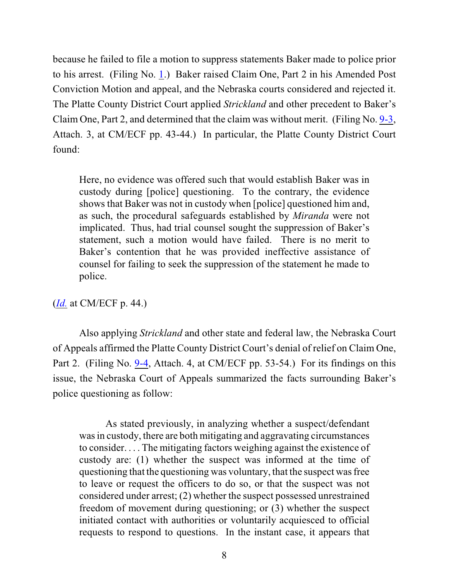because he failed to file a motion to suppress statements Baker made to police prior to his arrest. (Filing No. [1](http://ecf.ned.uscourts.gov/doc1/11302153367).) Baker raised Claim One, Part 2 in his Amended Post Conviction Motion and appeal, and the Nebraska courts considered and rejected it. The Platte County District Court applied *Strickland* and other precedent to Baker's Claim One, Part 2, and determined that the claim was without merit. (Filing No. [9-3](https://ecf.ned.uscourts.gov/doc1/11312191378), Attach. 3, at CM/ECF pp. 43-44.) In particular, the Platte County District Court found:

Here, no evidence was offered such that would establish Baker was in custody during [police] questioning. To the contrary, the evidence shows that Baker was not in custody when [police] questioned him and, as such, the procedural safeguards established by *Miranda* were not implicated. Thus, had trial counsel sought the suppression of Baker's statement, such a motion would have failed. There is no merit to Baker's contention that he was provided ineffective assistance of counsel for failing to seek the suppression of the statement he made to police.

(*[Id.](https://ecf.ned.uscourts.gov/doc1/11312191378)* at CM/ECF p. 44.)

Also applying *Strickland* and other state and federal law, the Nebraska Court of Appeals affirmed the Platte County District Court's denial of relief on Claim One, Part 2. (Filing No. [9-4](https://ecf.ned.uscourts.gov/doc1/11312191379), Attach. 4, at CM/ECF pp. 53-54.) For its findings on this issue, the Nebraska Court of Appeals summarized the facts surrounding Baker's police questioning as follow:

As stated previously, in analyzing whether a suspect/defendant was in custody, there are both mitigating and aggravating circumstances to consider. . . . The mitigating factors weighing against the existence of custody are: (1) whether the suspect was informed at the time of questioning that the questioning was voluntary, that the suspect was free to leave or request the officers to do so, or that the suspect was not considered under arrest; (2) whether the suspect possessed unrestrained freedom of movement during questioning; or (3) whether the suspect initiated contact with authorities or voluntarily acquiesced to official requests to respond to questions. In the instant case, it appears that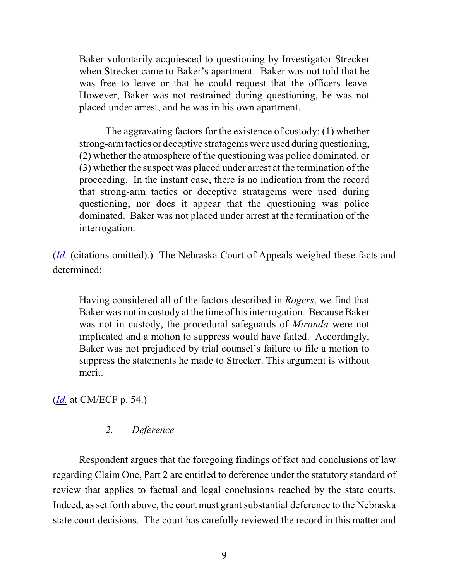Baker voluntarily acquiesced to questioning by Investigator Strecker when Strecker came to Baker's apartment. Baker was not told that he was free to leave or that he could request that the officers leave. However, Baker was not restrained during questioning, he was not placed under arrest, and he was in his own apartment.

The aggravating factors for the existence of custody: (1) whether strong-arm tactics or deceptive stratagems were used during questioning, (2) whether the atmosphere of the questioning was police dominated, or (3) whether the suspect was placed under arrest at the termination of the proceeding. In the instant case, there is no indication from the record that strong-arm tactics or deceptive stratagems were used during questioning, nor does it appear that the questioning was police dominated. Baker was not placed under arrest at the termination of the interrogation.

(*[Id.](https://ecf.ned.uscourts.gov/doc1/11312191379)* (citations omitted).) The Nebraska Court of Appeals weighed these facts and determined:

Having considered all of the factors described in *Rogers*, we find that Baker was not in custody at the time of his interrogation. Because Baker was not in custody, the procedural safeguards of *Miranda* were not implicated and a motion to suppress would have failed. Accordingly, Baker was not prejudiced by trial counsel's failure to file a motion to suppress the statements he made to Strecker. This argument is without merit.

(*[Id.](https://ecf.ned.uscourts.gov/doc1/11312191379)* at CM/ECF p. 54.)

## *2. Deference*

Respondent argues that the foregoing findings of fact and conclusions of law regarding Claim One, Part 2 are entitled to deference under the statutory standard of review that applies to factual and legal conclusions reached by the state courts. Indeed, as set forth above, the court must grant substantial deference to the Nebraska state court decisions. The court has carefully reviewed the record in this matter and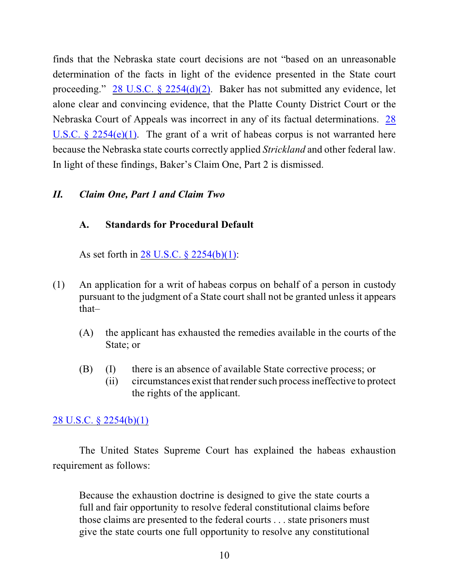finds that the Nebraska state court decisions are not "based on an unreasonable determination of the facts in light of the evidence presented in the State court proceeding." [28 U.S.C. § 2254\(d\)\(2\)](http://web2.westlaw.com/find/default.wl?fn=_top&rs=WLW8.10&rp=%2ffind%2fdefault.wl&vr=2.0&cite=28+U.S.C.+%c2%a7+2254(d)(2)). Baker has not submitted any evidence, let alone clear and convincing evidence, that the Platte County District Court or the Nebraska Court of Appeals was incorrect in any of its factual determinations. [28](http://web2.westlaw.com/find/default.wl?fn=_top&rs=WLW8.10&rp=%2ffind%2fdefault.wl&vr=2.0&cite=28+U.S.C.+%c2%a7+2254(d)(2)) U.S.C.  $\S$  2254(e)(1). The grant of a writ of habeas corpus is not warranted here because the Nebraska state courts correctly applied *Strickland* and other federal law. In light of these findings, Baker's Claim One, Part 2 is dismissed.

## *II. Claim One, Part 1 and Claim Two*

# **A. Standards for Procedural Default**

As set forth in [28 U.S.C. § 2254\(b\)\(1\)](http://web2.westlaw.com/find/default.wl?fn=_top&rs=WLW8.10&rp=%2ffind%2fdefault.wl&mt=Westlaw&vr=2.0&sv=Split&cite=28+usc+2254(b)(1)):

- (1) An application for a writ of habeas corpus on behalf of a person in custody pursuant to the judgment of a State court shall not be granted unless it appears that–
	- (A) the applicant has exhausted the remedies available in the courts of the State; or
	- (B) (I) there is an absence of available State corrective process; or
		- (ii) circumstances exist that render such process ineffective to protect the rights of the applicant.

# [28 U.S.C. § 2254\(b\)\(1\)](http://web2.westlaw.com/find/default.wl?fn=_top&rs=WLW8.10&rp=%2ffind%2fdefault.wl&mt=Westlaw&vr=2.0&sv=Split&cite=28+usc+2254(b)(1))

The United States Supreme Court has explained the habeas exhaustion requirement as follows:

Because the exhaustion doctrine is designed to give the state courts a full and fair opportunity to resolve federal constitutional claims before those claims are presented to the federal courts . . . state prisoners must give the state courts one full opportunity to resolve any constitutional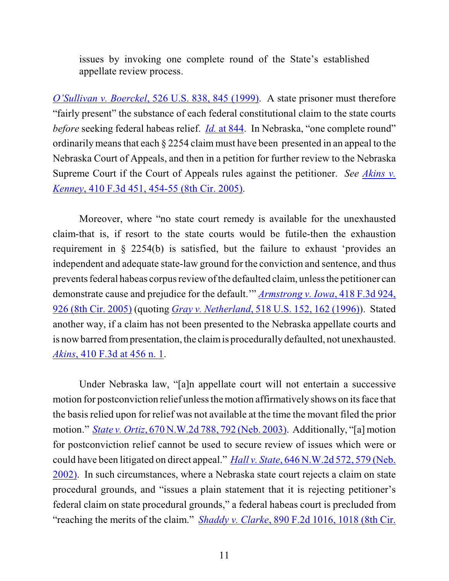issues by invoking one complete round of the State's established appellate review process.

*O'Sullivan v. Boerckel*[, 526 U.S. 838, 845 \(1999\)](http://web2.westlaw.com/find/default.wl?fn=_top&rs=WLW8.10&rp=%2ffind%2fdefault.wl&mt=Westlaw&vr=2.0&sv=Split&cite=526+us+845). A state prisoner must therefore "fairly present" the substance of each federal constitutional claim to the state courts *before* seeking federal habeas relief. *Id.* [at 844](file:///|//v). In Nebraska, "one complete round" ordinarily means that each § 2254 claim must have been presented in an appeal to the Nebraska Court of Appeals, and then in a petition for further review to the Nebraska Supreme Court if the Court of Appeals rules against the petitioner. *See [Akins v.](http://web2.westlaw.com/find/default.wl?fn=_top&rs=WLW8.10&rp=%2ffind%2fdefault.wl&mt=Westlaw&vr=2.0&sv=Split&cite=410+f+3d+454) Kenney*[, 410 F.3d 451, 454-55 \(8th Cir. 2005\)](http://web2.westlaw.com/find/default.wl?fn=_top&rs=WLW8.10&rp=%2ffind%2fdefault.wl&mt=Westlaw&vr=2.0&sv=Split&cite=410+f+3d+454).

Moreover, where "no state court remedy is available for the unexhausted claim-that is, if resort to the state courts would be futile-then the exhaustion requirement in § 2254(b) is satisfied, but the failure to exhaust 'provides an independent and adequate state-law ground for the conviction and sentence, and thus prevents federal habeas corpus review of the defaulted claim, unless the petitioner can demonstrate cause and prejudice for the default.'" *[Armstrong v. Iowa](http://web2.westlaw.com/find/default.wl?ifm=NotSet&rp=%2ffind%2fdefault.wl&sv=Split&rs=WLW9.08&cite=418+f+3d+926&fn=_top&mt=Westlaw&vr=2.0)*, 418 F.3d 924, [926 \(8th Cir. 2005\)](http://web2.westlaw.com/find/default.wl?ifm=NotSet&rp=%2ffind%2fdefault.wl&sv=Split&rs=WLW9.08&cite=418+f+3d+926&fn=_top&mt=Westlaw&vr=2.0) (quoting *Gray v. Netherland*[, 518 U.S. 152, 162 \(1996\)](http://web2.westlaw.com/find/default.wl?ifm=NotSet&rp=%2ffind%2fdefault.wl&sv=Split&rs=WLW9.08&cite=518+us+162&fn=_top&mt=Westlaw&vr=2.0)). Stated another way, if a claim has not been presented to the Nebraska appellate courts and is now barred from presentation, the claim is procedurally defaulted, not unexhausted. *Akins*[, 410 F.3d at 456 n. 1](http://web2.westlaw.com/find/default.wl?fn=_top&rs=WLW8.10&rp=%2ffind%2fdefault.wl&mt=Westlaw&vr=2.0&sv=Split&cite=410+f+3d+454).

Under Nebraska law, "[a]n appellate court will not entertain a successive motion for postconviction relief unless the motion affirmatively shows on its face that the basis relied upon for relief was not available at the time the movant filed the prior motion." *State v. Ortiz*[, 670 N.W.2d 788, 792 \(Neb. 2003\)](http://web2.westlaw.com/find/default.wl?fn=_top&rs=WLW8.10&rp=%2ffind%2fdefault.wl&mt=Westlaw&vr=2.0&sv=Split&cite=670+nw+2d+792). Additionally, "[a] motion for postconviction relief cannot be used to secure review of issues which were or could have been litigated on direct appeal." *Hall v. State*[, 646 N.W.2d 572, 579 \(Neb.](http://web2.westlaw.com/find/default.wl?ifm=NotSet&rp=%2ffind%2fdefault.wl&sv=Split&rs=WLW9.10&cite=646+nw2d+572&fn=_top&mt=Westlaw&vr=2.0) [2002\)](http://web2.westlaw.com/find/default.wl?ifm=NotSet&rp=%2ffind%2fdefault.wl&sv=Split&rs=WLW9.10&cite=646+nw2d+572&fn=_top&mt=Westlaw&vr=2.0). In such circumstances, where a Nebraska state court rejects a claim on state procedural grounds, and "issues a plain statement that it is rejecting petitioner's federal claim on state procedural grounds," a federal habeas court is precluded from "reaching the merits of the claim." *Shaddy v. Clarke*[, 890 F.2d 1016, 1018 \(8th Cir.](http://web2.westlaw.com/find/default.wl?ifm=NotSet&rp=%2ffind%2fdefault.wl&sv=Split&rs=WLW9.08&cite=890+f+2d+1018&fn=_top&mt=Westlaw&vr=2.0)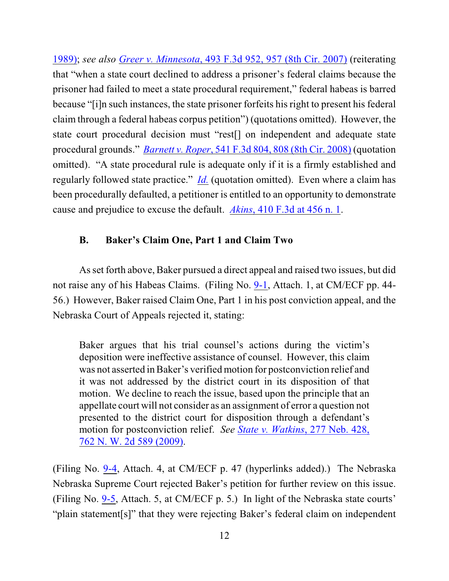1989); *see also Greer v. Minnesota*[, 493 F.3d 952, 957 \(8th Cir. 2007\)](http://web2.westlaw.com/find/default.wl?rs=WLW9.09&ifm=NotSet&fn=_top&sv=Split&pbc=408EF548&cite=493+f+3d+957&vr=2.0&rp=%2ffind%2fdefault.wl&mt=Westlaw) (reiterating that "when a state court declined to address a prisoner's federal claims because the prisoner had failed to meet a state procedural requirement," federal habeas is barred because "[i]n such instances, the state prisoner forfeits his right to present his federal claim through a federal habeas corpus petition") (quotations omitted). However, the state court procedural decision must "rest[] on independent and adequate state procedural grounds." *Barnett v. Roper*, 541 F.3d 804, [808 \(8th Cir. 2008\)](http://ecf.ned.uscourts.gov/doc1/11302056790) (quotation omitted). "A state procedural rule is adequate only if it is a firmly established and regularly followed state practice." *[Id.](http://web2.westlaw.com/find/default.wl?ifm=NotSet&rp=%2ffind%2fdefault.wl&sv=Split&rs=WLW9.10&cite=541+f+3d+808&fn=_top&mt=Westlaw&vr=2.0)* (quotation omitted). Even where a claim has been procedurally defaulted, a petitioner is entitled to an opportunity to demonstrate cause and prejudice to excuse the default. *Akins*[, 410 F.3d at 456 n. 1](http://web2.westlaw.com/find/default.wl?fn=_top&rs=WLW8.10&rp=%2ffind%2fdefault.wl&mt=Westlaw&vr=2.0&sv=Split&cite=410+f+3d+454).

# **B. Baker's Claim One, Part 1 and Claim Two**

As set forth above, Baker pursued a direct appeal and raised two issues, but did not raise any of his Habeas Claims. (Filing No. [9-1](https://ecf.ned.uscourts.gov/doc1/11312191376), Attach. 1, at CM/ECF pp. 44- 56.) However, Baker raised Claim One, Part 1 in his post conviction appeal, and the Nebraska Court of Appeals rejected it, stating:

Baker argues that his trial counsel's actions during the victim's deposition were ineffective assistance of counsel. However, this claim was not asserted in Baker's verifiedmotion for postconviction relief and it was not addressed by the district court in its disposition of that motion. We decline to reach the issue, based upon the principle that an appellate court will not consider as an assignment of error a question not presented to the district court for disposition through a defendant's motion for postconviction relief. *See [State v. Watkins](http://web2.westlaw.com/find/default.wl?fn=_top&rs=WLW11.04&rp=%2ffind%2fdefault.wl&ifm=NotSet&vr=2.0&cite=277+neb+428)*, 277 Neb. 428, [762 N. W. 2d 589 \(2009\)](http://web2.westlaw.com/find/default.wl?fn=_top&rs=WLW11.04&rp=%2ffind%2fdefault.wl&ifm=NotSet&vr=2.0&cite=277+neb+428).

(Filing No. [9-4](https://ecf.ned.uscourts.gov/doc1/11312191379), Attach. 4, at CM/ECF p. 47 (hyperlinks added).) The Nebraska Nebraska Supreme Court rejected Baker's petition for further review on this issue. (Filing No. [9-5](https://ecf.ned.uscourts.gov/doc1/11312191380), Attach. 5, at CM/ECF p. 5.) In light of the Nebraska state courts' "plain statement[s]" that they were rejecting Baker's federal claim on independent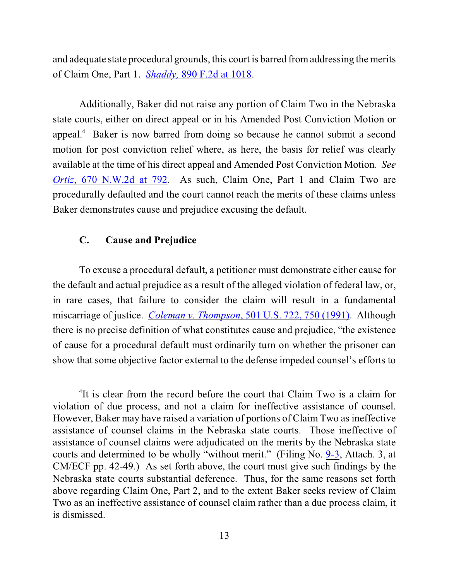and adequate state procedural grounds, this court is barred from addressing the merits of Claim One, Part 1. *Shaddy,* [890 F.2d at 1018](http://web2.westlaw.com/find/default.wl?ifm=NotSet&rp=%2ffind%2fdefault.wl&sv=Split&rs=WLW9.08&cite=890+f+2d+1018&fn=_top&mt=Westlaw&vr=2.0).

Additionally, Baker did not raise any portion of Claim Two in the Nebraska state courts, either on direct appeal or in his Amended Post Conviction Motion or appeal.<sup>4</sup> Baker is now barred from doing so because he cannot submit a second motion for post conviction relief where, as here, the basis for relief was clearly available at the time of his direct appeal and Amended Post Conviction Motion. *See Ortiz*[, 670 N.W.2d at 792](http://web2.westlaw.com/find/default.wl?fn=_top&rs=WLW8.10&rp=%2ffind%2fdefault.wl&mt=Westlaw&vr=2.0&sv=Split&cite=670+nw+2d+792). As such, Claim One, Part 1 and Claim Two are procedurally defaulted and the court cannot reach the merits of these claims unless Baker demonstrates cause and prejudice excusing the default.

### **C. Cause and Prejudice**

To excuse a procedural default, a petitioner must demonstrate either cause for the default and actual prejudice as a result of the alleged violation of federal law, or, in rare cases, that failure to consider the claim will result in a fundamental miscarriage of justice. *Coleman v. Thompson*[, 501 U.S. 722, 750 \(1991\)](file:///|//v). Although there is no precise definition of what constitutes cause and prejudice, "the existence of cause for a procedural default must ordinarily turn on whether the prisoner can show that some objective factor external to the defense impeded counsel's efforts to

<sup>&</sup>lt;sup>4</sup>It is clear from the record before the court that Claim Two is a claim for violation of due process, and not a claim for ineffective assistance of counsel. However, Baker may have raised a variation of portions of Claim Two as ineffective assistance of counsel claims in the Nebraska state courts. Those ineffective of assistance of counsel claims were adjudicated on the merits by the Nebraska state courts and determined to be wholly "without merit." (Filing No. [9-3](https://ecf.ned.uscourts.gov/doc1/11312191378), Attach. 3, at CM/ECF pp. 42-49.) As set forth above, the court must give such findings by the Nebraska state courts substantial deference. Thus, for the same reasons set forth above regarding Claim One, Part 2, and to the extent Baker seeks review of Claim Two as an ineffective assistance of counsel claim rather than a due process claim, it is dismissed.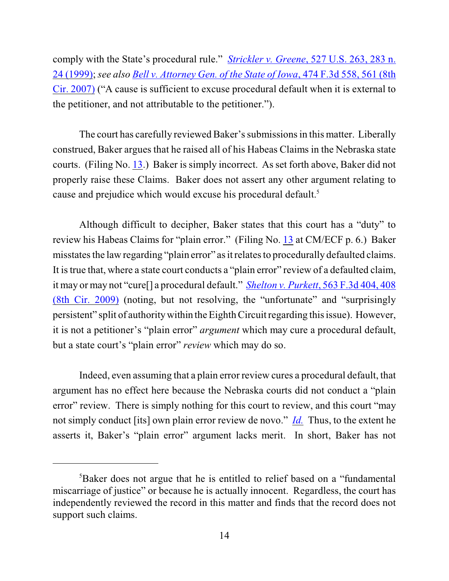comply with the State's procedural rule." *Strickler v. Greene*[, 527 U.S. 263, 283 n.](http://web2.westlaw.com/find/default.wl?rs=WLW9.09&ifm=NotSet&fn=_top&sv=Split&cite=527+us+283&vr=2.0&rp=%2ffind%2fdefault.wl&mt=Westlaw) [24 \(1999\)](http://web2.westlaw.com/find/default.wl?rs=WLW9.09&ifm=NotSet&fn=_top&sv=Split&cite=527+us+283&vr=2.0&rp=%2ffind%2fdefault.wl&mt=Westlaw); *see also Bell v. [Attorney Gen. of the State of Iowa](http://web2.westlaw.com/find/default.wl?rs=WLW9.09&ifm=NotSet&fn=_top&sv=Split&pbc=408EF548&cite=474+f+3d+558&vr=2.0&rp=%2ffind%2fdefault.wl&mt=Westlaw)*, 474 F.3d 558, 561 (8th [Cir. 2007\)](http://web2.westlaw.com/find/default.wl?rs=WLW9.09&ifm=NotSet&fn=_top&sv=Split&pbc=408EF548&cite=474+f+3d+558&vr=2.0&rp=%2ffind%2fdefault.wl&mt=Westlaw) ("A cause is sufficient to excuse procedural default when it is external to the petitioner, and not attributable to the petitioner.").

The court has carefully reviewed Baker's submissions in this matter. Liberally construed, Baker argues that he raised all of his Habeas Claims in the Nebraska state courts. (Filing No. [13](http://ecf.ned.uscourts.gov/doc1/11302211071).) Baker is simply incorrect. As set forth above, Baker did not properly raise these Claims. Baker does not assert any other argument relating to cause and prejudice which would excuse his procedural default.<sup>5</sup>

Although difficult to decipher, Baker states that this court has a "duty" to review his Habeas Claims for "plain error." (Filing No. [13](http://ecf.ned.uscourts.gov/doc1/11302211071) at CM/ECF p. 6.) Baker misstates the law regarding "plain error" as it relates to procedurally defaulted claims. It is true that, where a state court conducts a "plain error" review of a defaulted claim, it may or may not "cure[] a procedural default." *Shelton v. Purkett*[, 563 F.3d 404, 408](http://web2.westlaw.com/find/default.wl?ifm=NotSet&rp=%2ffind%2fdefault.wl&sv=Split&rs=WLW9.08&cite=563+f+3d+408&fn=_top&mt=Westlaw&vr=2.0) [\(8th Cir. 2009\)](http://web2.westlaw.com/find/default.wl?ifm=NotSet&rp=%2ffind%2fdefault.wl&sv=Split&rs=WLW9.08&cite=563+f+3d+408&fn=_top&mt=Westlaw&vr=2.0) (noting, but not resolving, the "unfortunate" and "surprisingly persistent" split of authority within the Eighth Circuit regarding this issue). However, it is not a petitioner's "plain error" *argument* which may cure a procedural default, but a state court's "plain error" *review* which may do so.

Indeed, even assuming that a plain error review cures a procedural default, that argument has no effect here because the Nebraska courts did not conduct a "plain error" review. There is simply nothing for this court to review, and this court "may not simply conduct [its] own plain error review de novo." *[Id.](http://web2.westlaw.com/find/default.wl?ifm=NotSet&rp=%2ffind%2fdefault.wl&sv=Split&rs=WLW9.08&cite=563+f+3d+408&fn=_top&mt=Westlaw&vr=2.0)* Thus, to the extent he asserts it, Baker's "plain error" argument lacks merit. In short, Baker has not

<sup>&</sup>lt;sup>5</sup>Baker does not argue that he is entitled to relief based on a "fundamental" miscarriage of justice" or because he is actually innocent. Regardless, the court has independently reviewed the record in this matter and finds that the record does not support such claims.